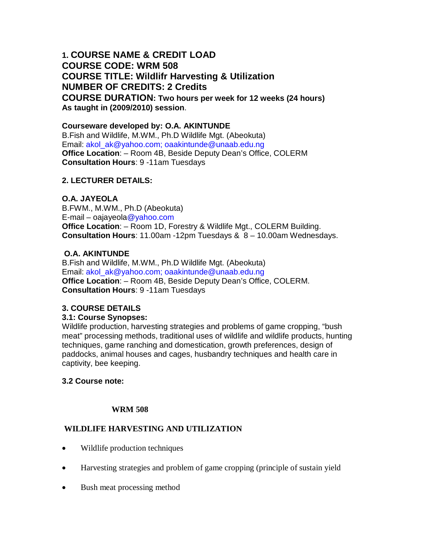# **1. COURSE NAME & CREDIT LOAD COURSE CODE: WRM 508 COURSE TITLE: Wildlifr Harvesting & Utilization NUMBER OF CREDITS: 2 Credits COURSE DURATION: Two hours per week for 12 weeks (24 hours) As taught in (2009/2010) session**.

## **Courseware developed by: O.A. AKINTUNDE**

B.Fish and Wildlife, M.WM., Ph.D Wildlife Mgt. (Abeokuta) Email: akol\_ak@yahoo.com; oaakintunde@unaab.edu.ng **Office Location**: – Room 4B, Beside Deputy Dean's Office, COLERM **Consultation Hours**: 9 -11am Tuesdays

### **2. LECTURER DETAILS:**

### **O.A. JAYEOLA**

B.FWM., M.WM., Ph.D (Abeokuta) E-mail – oajayeola@yahoo.com **Office Location**: – Room 1D, Forestry & Wildlife Mgt., COLERM Building. **Consultation Hours**: 11.00am -12pm Tuesdays & 8 – 10.00am Wednesdays.

### **O.A. AKINTUNDE**

B.Fish and Wildlife, M.WM., Ph.D Wildlife Mgt. (Abeokuta) Email: akol\_ak@yahoo.com; oaakintunde@unaab.edu.ng **Office Location**: – Room 4B, Beside Deputy Dean's Office, COLERM. **Consultation Hours**: 9 -11am Tuesdays

## **3. COURSE DETAILS**

#### **3.1: Course Synopses:**

Wildlife production, harvesting strategies and problems of game cropping, "bush meat" processing methods, traditional uses of wildlife and wildlife products, hunting techniques, game ranching and domestication, growth preferences, design of paddocks, animal houses and cages, husbandry techniques and health care in captivity, bee keeping.

#### **3.2 Course note:**

#### **WRM 508**

## **WILDLIFE HARVESTING AND UTILIZATION**

- Wildlife production techniques
- Harvesting strategies and problem of game cropping (principle of sustain yield
- Bush meat processing method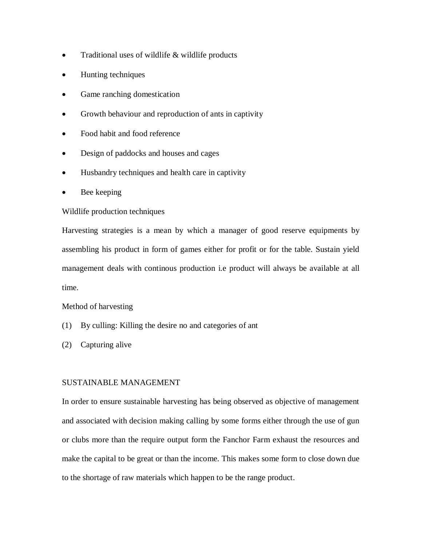- Traditional uses of wildlife & wildlife products
- Hunting techniques
- Game ranching domestication
- Growth behaviour and reproduction of ants in captivity
- Food habit and food reference
- Design of paddocks and houses and cages
- Husbandry techniques and health care in captivity
- Bee keeping

#### Wildlife production techniques

Harvesting strategies is a mean by which a manager of good reserve equipments by assembling his product in form of games either for profit or for the table. Sustain yield management deals with continous production i.e product will always be available at all time.

#### Method of harvesting

- (1) By culling: Killing the desire no and categories of ant
- (2) Capturing alive

#### SUSTAINABLE MANAGEMENT

In order to ensure sustainable harvesting has being observed as objective of management and associated with decision making calling by some forms either through the use of gun or clubs more than the require output form the Fanchor Farm exhaust the resources and make the capital to be great or than the income. This makes some form to close down due to the shortage of raw materials which happen to be the range product.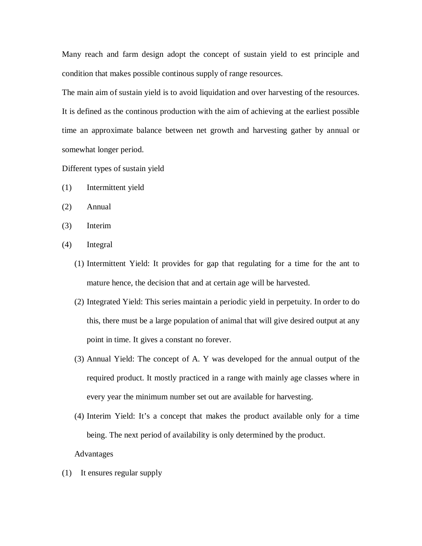Many reach and farm design adopt the concept of sustain yield to est principle and condition that makes possible continous supply of range resources.

The main aim of sustain yield is to avoid liquidation and over harvesting of the resources. It is defined as the continous production with the aim of achieving at the earliest possible time an approximate balance between net growth and harvesting gather by annual or somewhat longer period.

Different types of sustain yield

- (1) Intermittent yield
- (2) Annual
- (3) Interim
- (4) Integral
	- (1) Intermittent Yield: It provides for gap that regulating for a time for the ant to mature hence, the decision that and at certain age will be harvested.
	- (2) Integrated Yield: This series maintain a periodic yield in perpetuity. In order to do this, there must be a large population of animal that will give desired output at any point in time. It gives a constant no forever.
	- (3) Annual Yield: The concept of A. Y was developed for the annual output of the required product. It mostly practiced in a range with mainly age classes where in every year the minimum number set out are available for harvesting.
	- (4) Interim Yield: It's a concept that makes the product available only for a time being. The next period of availability is only determined by the product.
	- Advantages
- (1) It ensures regular supply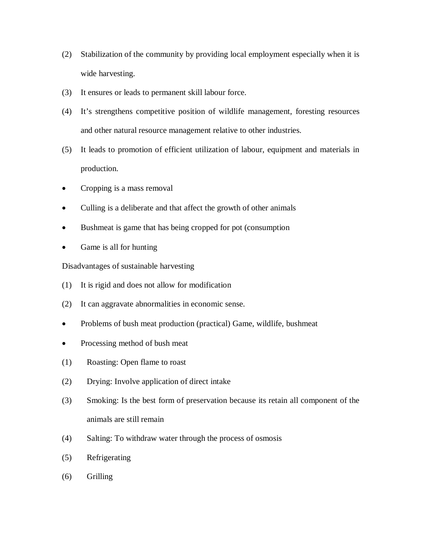- (2) Stabilization of the community by providing local employment especially when it is wide harvesting.
- (3) It ensures or leads to permanent skill labour force.
- (4) It's strengthens competitive position of wildlife management, foresting resources and other natural resource management relative to other industries.
- (5) It leads to promotion of efficient utilization of labour, equipment and materials in production.
- Cropping is a mass removal
- Culling is a deliberate and that affect the growth of other animals
- Bushmeat is game that has being cropped for pot (consumption
- Game is all for hunting

Disadvantages of sustainable harvesting

- (1) It is rigid and does not allow for modification
- (2) It can aggravate abnormalities in economic sense.
- Problems of bush meat production (practical) Game, wildlife, bushmeat
- Processing method of bush meat
- (1) Roasting: Open flame to roast
- (2) Drying: Involve application of direct intake
- (3) Smoking: Is the best form of preservation because its retain all component of the animals are still remain
- (4) Salting: To withdraw water through the process of osmosis
- (5) Refrigerating
- (6) Grilling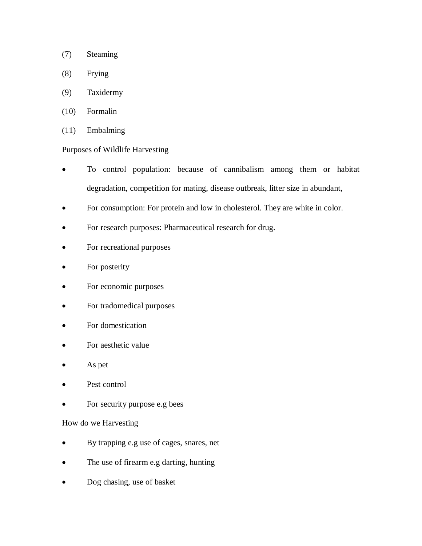- (7) Steaming
- (8) Frying
- (9) Taxidermy
- (10) Formalin
- (11) Embalming

### Purposes of Wildlife Harvesting

- To control population: because of cannibalism among them or habitat degradation, competition for mating, disease outbreak, litter size in abundant,
- For consumption: For protein and low in cholesterol. They are white in color.
- For research purposes: Pharmaceutical research for drug.
- For recreational purposes
- For posterity
- For economic purposes
- For tradomedical purposes
- For domestication
- For aesthetic value
- As pet
- Pest control
- For security purpose e.g bees

#### How do we Harvesting

- By trapping e.g use of cages, snares, net
- The use of firearm e.g darting, hunting
- Dog chasing, use of basket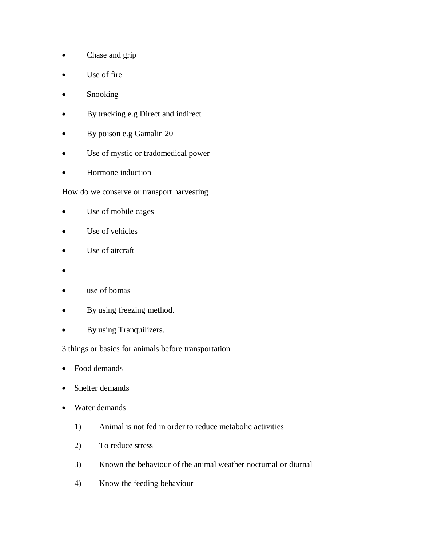- Chase and grip
- Use of fire
- Snooking
- By tracking e.g Direct and indirect
- By poison e.g Gamalin 20
- Use of mystic or tradomedical power
- Hormone induction

How do we conserve or transport harvesting

- Use of mobile cages
- Use of vehicles
- Use of aircraft
- $\bullet$
- use of bomas
- By using freezing method.
- By using Tranquilizers.

3 things or basics for animals before transportation

- Food demands
- Shelter demands
- Water demands
	- 1) Animal is not fed in order to reduce metabolic activities
	- 2) To reduce stress
	- 3) Known the behaviour of the animal weather nocturnal or diurnal
	- 4) Know the feeding behaviour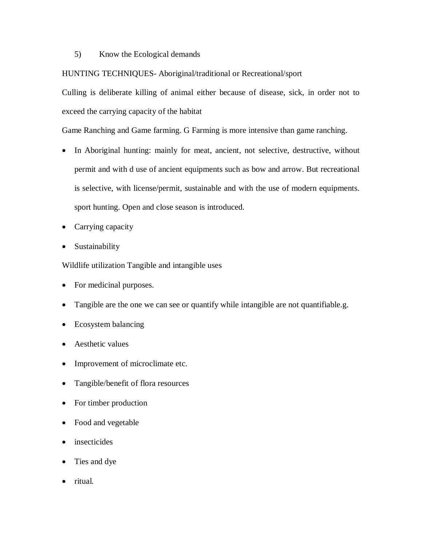5) Know the Ecological demands

#### HUNTING TECHNIQUES- Aboriginal/traditional or Recreational/sport

Culling is deliberate killing of animal either because of disease, sick, in order not to exceed the carrying capacity of the habitat

Game Ranching and Game farming. G Farming is more intensive than game ranching.

- In Aboriginal hunting: mainly for meat, ancient, not selective, destructive, without permit and with d use of ancient equipments such as bow and arrow. But recreational is selective, with license/permit, sustainable and with the use of modern equipments. sport hunting. Open and close season is introduced.
- Carrying capacity
- Sustainability

Wildlife utilization Tangible and intangible uses

- For medicinal purposes.
- Tangible are the one we can see or quantify while intangible are not quantifiable.g.
- Ecosystem balancing
- Aesthetic values
- Improvement of microclimate etc.
- Tangible/benefit of flora resources
- For timber production
- Food and vegetable
- insecticides
- Ties and dye
- ritual.